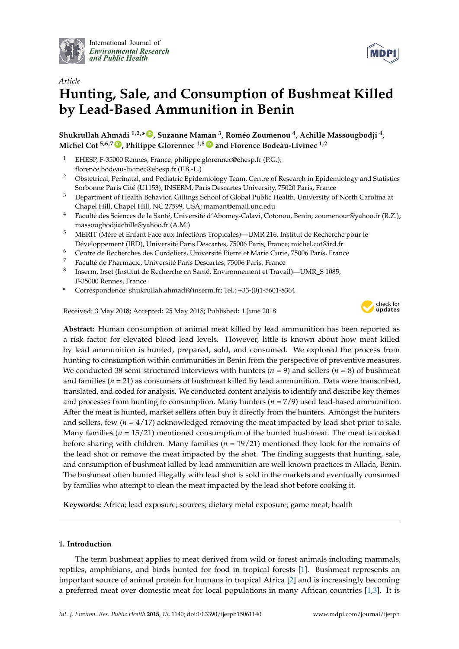

International Journal of *[Environmental Research](http://www.mdpi.com/journal/ijerph) and Public Health*



# *Article* **Hunting, Sale, and Consumption of Bushmeat Killed by Lead-Based Ammunition in Benin**

**Shukrullah Ahmadi 1,2,\* [ID](https://orcid.org/0000-0001-7071-8761) , Suzanne Maman <sup>3</sup> , Roméo Zoumenou <sup>4</sup> , Achille Massougbodji <sup>4</sup> , Michel Cot 5,6,7 [ID](https://orcid.org/0000-0003-3014-4294) , Philippe Glorennec 1,8 [ID](https://orcid.org/0000-0003-4450-0878) and Florence Bodeau-Livinec 1,2**

- <sup>1</sup> EHESP, F-35000 Rennes, France; philippe.glorennec@ehesp.fr (P.G.); florence.bodeau-livinec@ehesp.fr (F.B.-L.)
- <sup>2</sup> Obstetrical, Perinatal, and Pediatric Epidemiology Team, Centre of Research in Epidemiology and Statistics Sorbonne Paris Cité (U1153), INSERM, Paris Descartes University, 75020 Paris, France
- <sup>3</sup> Department of Health Behavior, Gillings School of Global Public Health, University of North Carolina at Chapel Hill, Chapel Hill, NC 27599, USA; maman@email.unc.edu
- <sup>4</sup> Faculté des Sciences de la Santé, Université d'Abomey-Calavi, Cotonou, Benin; zoumenour@yahoo.fr (R.Z.); massougbodjiachille@yahoo.fr (A.M.)
- <sup>5</sup> MERIT (Mère et Enfant Face aux Infections Tropicales)—UMR 216, Institut de Recherche pour le Développement (IRD), Université Paris Descartes, 75006 Paris, France; michel.cot@ird.fr
- <sup>6</sup> Centre de Recherches des Cordeliers, Université Pierre et Marie Curie, 75006 Paris, France
- <sup>7</sup> Faculté de Pharmacie, Université Paris Descartes, 75006 Paris, France
- 8 Inserm, Irset (Institut de Recherche en Santé, Environnement et Travail)—UMR\_S 1085, F-35000 Rennes, France
- **\*** Correspondence: shukrullah.ahmadi@inserm.fr; Tel.: +33-(0)1-5601-8364

Received: 3 May 2018; Accepted: 25 May 2018; Published: 1 June 2018



**Abstract:** Human consumption of animal meat killed by lead ammunition has been reported as a risk factor for elevated blood lead levels. However, little is known about how meat killed by lead ammunition is hunted, prepared, sold, and consumed. We explored the process from hunting to consumption within communities in Benin from the perspective of preventive measures. We conducted 38 semi-structured interviews with hunters (*n* = 9) and sellers (*n* = 8) of bushmeat and families (*n* = 21) as consumers of bushmeat killed by lead ammunition. Data were transcribed, translated, and coded for analysis. We conducted content analysis to identify and describe key themes and processes from hunting to consumption. Many hunters (*n* = 7/9) used lead-based ammunition. After the meat is hunted, market sellers often buy it directly from the hunters. Amongst the hunters and sellers, few (*n* = 4/17) acknowledged removing the meat impacted by lead shot prior to sale. Many families ( $n = 15/21$ ) mentioned consumption of the hunted bushmeat. The meat is cooked before sharing with children. Many families  $(n = 19/21)$  mentioned they look for the remains of the lead shot or remove the meat impacted by the shot. The finding suggests that hunting, sale, and consumption of bushmeat killed by lead ammunition are well-known practices in Allada, Benin. The bushmeat often hunted illegally with lead shot is sold in the markets and eventually consumed by families who attempt to clean the meat impacted by the lead shot before cooking it.

**Keywords:** Africa; lead exposure; sources; dietary metal exposure; game meat; health

# **1. Introduction**

The term bushmeat applies to meat derived from wild or forest animals including mammals, reptiles, amphibians, and birds hunted for food in tropical forests [\[1\]](#page-9-0). Bushmeat represents an important source of animal protein for humans in tropical Africa [\[2\]](#page-9-1) and is increasingly becoming a preferred meat over domestic meat for local populations in many African countries [\[1](#page-9-0)[,3\]](#page-9-2). It is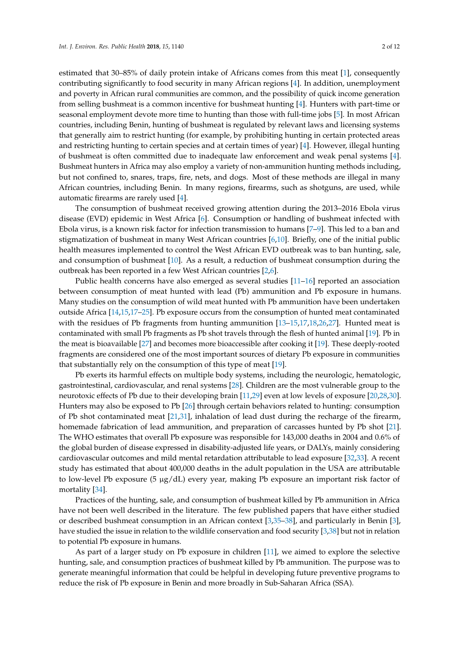estimated that 30–85% of daily protein intake of Africans comes from this meat [\[1\]](#page-9-0), consequently contributing significantly to food security in many African regions [\[4\]](#page-9-3). In addition, unemployment and poverty in African rural communities are common, and the possibility of quick income generation from selling bushmeat is a common incentive for bushmeat hunting [\[4\]](#page-9-3). Hunters with part-time or seasonal employment devote more time to hunting than those with full-time jobs [\[5\]](#page-9-4). In most African countries, including Benin, hunting of bushmeat is regulated by relevant laws and licensing systems that generally aim to restrict hunting (for example, by prohibiting hunting in certain protected areas and restricting hunting to certain species and at certain times of year) [\[4\]](#page-9-3). However, illegal hunting of bushmeat is often committed due to inadequate law enforcement and weak penal systems [\[4\]](#page-9-3). Bushmeat hunters in Africa may also employ a variety of non-ammunition hunting methods including, but not confined to, snares, traps, fire, nets, and dogs. Most of these methods are illegal in many African countries, including Benin. In many regions, firearms, such as shotguns, are used, while automatic firearms are rarely used [\[4\]](#page-9-3).

The consumption of bushmeat received growing attention during the 2013–2016 Ebola virus disease (EVD) epidemic in West Africa [\[6\]](#page-9-5). Consumption or handling of bushmeat infected with Ebola virus, is a known risk factor for infection transmission to humans [\[7](#page-9-6)[–9\]](#page-9-7). This led to a ban and stigmatization of bushmeat in many West African countries [\[6](#page-9-5)[,10\]](#page-9-8). Briefly, one of the initial public health measures implemented to control the West African EVD outbreak was to ban hunting, sale, and consumption of bushmeat [\[10\]](#page-9-8). As a result, a reduction of bushmeat consumption during the outbreak has been reported in a few West African countries [\[2,](#page-9-1)[6\]](#page-9-5).

Public health concerns have also emerged as several studies [\[11–](#page-9-9)[16\]](#page-9-10) reported an association between consumption of meat hunted with lead (Pb) ammunition and Pb exposure in humans. Many studies on the consumption of wild meat hunted with Pb ammunition have been undertaken outside Africa [\[14,](#page-9-11)[15,](#page-9-12)[17](#page-9-13)[–25\]](#page-10-0). Pb exposure occurs from the consumption of hunted meat contaminated with the residues of Pb fragments from hunting ammunition [\[13](#page-9-14)[–15,](#page-9-12)[17,](#page-9-13)[18,](#page-10-1)[26,](#page-10-2)[27\]](#page-10-3). Hunted meat is contaminated with small Pb fragments as Pb shot travels through the flesh of hunted animal [\[19\]](#page-10-4). Pb in the meat is bioavailable [\[27\]](#page-10-3) and becomes more bioaccessible after cooking it [\[19\]](#page-10-4). These deeply-rooted fragments are considered one of the most important sources of dietary Pb exposure in communities that substantially rely on the consumption of this type of meat [\[19\]](#page-10-4).

Pb exerts its harmful effects on multiple body systems, including the neurologic, hematologic, gastrointestinal, cardiovascular, and renal systems [\[28\]](#page-10-5). Children are the most vulnerable group to the neurotoxic effects of Pb due to their developing brain [\[11,](#page-9-9)[29\]](#page-10-6) even at low levels of exposure [\[20](#page-10-7)[,28](#page-10-5)[,30\]](#page-10-8). Hunters may also be exposed to Pb [\[26\]](#page-10-2) through certain behaviors related to hunting: consumption of Pb shot contaminated meat [\[21](#page-10-9)[,31\]](#page-10-10), inhalation of lead dust during the recharge of the firearm, homemade fabrication of lead ammunition, and preparation of carcasses hunted by Pb shot [\[21\]](#page-10-9). The WHO estimates that overall Pb exposure was responsible for 143,000 deaths in 2004 and 0.6% of the global burden of disease expressed in disability-adjusted life years, or DALYs, mainly considering cardiovascular outcomes and mild mental retardation attributable to lead exposure [\[32,](#page-10-11)[33\]](#page-10-12). A recent study has estimated that about 400,000 deaths in the adult population in the USA are attributable to low-level Pb exposure  $(5 \mu g/dL)$  every year, making Pb exposure an important risk factor of mortality [\[34\]](#page-10-13).

Practices of the hunting, sale, and consumption of bushmeat killed by Pb ammunition in Africa have not been well described in the literature. The few published papers that have either studied or described bushmeat consumption in an African context [\[3,](#page-9-2)[35–](#page-10-14)[38\]](#page-10-15), and particularly in Benin [\[3\]](#page-9-2), have studied the issue in relation to the wildlife conservation and food security [\[3](#page-9-2)[,38\]](#page-10-15) but not in relation to potential Pb exposure in humans.

As part of a larger study on Pb exposure in children [\[11\]](#page-9-9), we aimed to explore the selective hunting, sale, and consumption practices of bushmeat killed by Pb ammunition. The purpose was to generate meaningful information that could be helpful in developing future preventive programs to reduce the risk of Pb exposure in Benin and more broadly in Sub-Saharan Africa (SSA).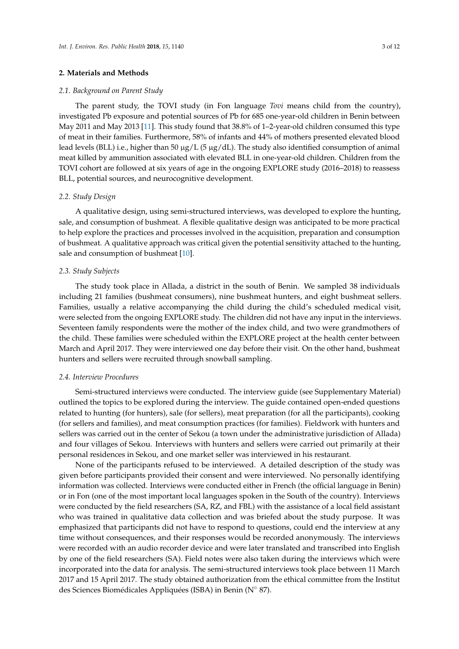#### **2. Materials and Methods**

#### *2.1. Background on Parent Study*

The parent study, the TOVI study (in Fon language *Tovi* means child from the country), investigated Pb exposure and potential sources of Pb for 685 one-year-old children in Benin between May 2011 and May 2013 [\[11\]](#page-9-9). This study found that 38.8% of 1–2-year-old children consumed this type of meat in their families. Furthermore, 58% of infants and 44% of mothers presented elevated blood lead levels (BLL) i.e., higher than 50  $\mu$ g/L (5  $\mu$ g/dL). The study also identified consumption of animal meat killed by ammunition associated with elevated BLL in one-year-old children. Children from the TOVI cohort are followed at six years of age in the ongoing EXPLORE study (2016–2018) to reassess BLL, potential sources, and neurocognitive development.

# *2.2. Study Design*

A qualitative design, using semi-structured interviews, was developed to explore the hunting, sale, and consumption of bushmeat. A flexible qualitative design was anticipated to be more practical to help explore the practices and processes involved in the acquisition, preparation and consumption of bushmeat. A qualitative approach was critical given the potential sensitivity attached to the hunting, sale and consumption of bushmeat [\[10\]](#page-9-8).

#### *2.3. Study Subjects*

The study took place in Allada, a district in the south of Benin. We sampled 38 individuals including 21 families (bushmeat consumers), nine bushmeat hunters, and eight bushmeat sellers. Families, usually a relative accompanying the child during the child's scheduled medical visit, were selected from the ongoing EXPLORE study. The children did not have any input in the interviews. Seventeen family respondents were the mother of the index child, and two were grandmothers of the child. These families were scheduled within the EXPLORE project at the health center between March and April 2017. They were interviewed one day before their visit. On the other hand, bushmeat hunters and sellers were recruited through snowball sampling.

#### *2.4. Interview Procedures*

Semi-structured interviews were conducted. The interview guide (see Supplementary Material) outlined the topics to be explored during the interview. The guide contained open-ended questions related to hunting (for hunters), sale (for sellers), meat preparation (for all the participants), cooking (for sellers and families), and meat consumption practices (for families). Fieldwork with hunters and sellers was carried out in the center of Sekou (a town under the administrative jurisdiction of Allada) and four villages of Sekou. Interviews with hunters and sellers were carried out primarily at their personal residences in Sekou, and one market seller was interviewed in his restaurant.

None of the participants refused to be interviewed. A detailed description of the study was given before participants provided their consent and were interviewed. No personally identifying information was collected. Interviews were conducted either in French (the official language in Benin) or in Fon (one of the most important local languages spoken in the South of the country). Interviews were conducted by the field researchers (SA, RZ, and FBL) with the assistance of a local field assistant who was trained in qualitative data collection and was briefed about the study purpose. It was emphasized that participants did not have to respond to questions, could end the interview at any time without consequences, and their responses would be recorded anonymously. The interviews were recorded with an audio recorder device and were later translated and transcribed into English by one of the field researchers (SA). Field notes were also taken during the interviews which were incorporated into the data for analysis. The semi-structured interviews took place between 11 March 2017 and 15 April 2017. The study obtained authorization from the ethical committee from the Institut des Sciences Biomédicales Appliquées (ISBA) in Benin (N◦ 87).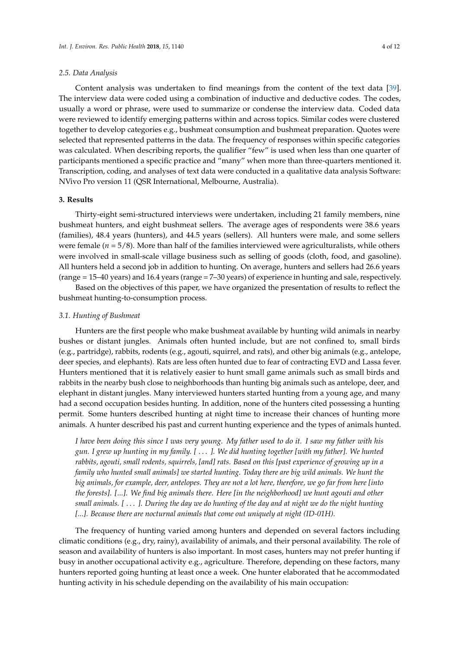Content analysis was undertaken to find meanings from the content of the text data [\[39\]](#page-11-0). The interview data were coded using a combination of inductive and deductive codes. The codes, usually a word or phrase, were used to summarize or condense the interview data. Coded data were reviewed to identify emerging patterns within and across topics. Similar codes were clustered together to develop categories e.g., bushmeat consumption and bushmeat preparation. Quotes were selected that represented patterns in the data. The frequency of responses within specific categories was calculated. When describing reports, the qualifier "few" is used when less than one quarter of participants mentioned a specific practice and "many" when more than three-quarters mentioned it. Transcription, coding, and analyses of text data were conducted in a qualitative data analysis Software: NVivo Pro version 11 (QSR International, Melbourne, Australia).

# **3. Results**

Thirty-eight semi-structured interviews were undertaken, including 21 family members, nine bushmeat hunters, and eight bushmeat sellers. The average ages of respondents were 38.6 years (families), 48.4 years (hunters), and 44.5 years (sellers). All hunters were male, and some sellers were female  $(n = 5/8)$ . More than half of the families interviewed were agriculturalists, while others were involved in small-scale village business such as selling of goods (cloth, food, and gasoline). All hunters held a second job in addition to hunting. On average, hunters and sellers had 26.6 years (range = 15–40 years) and 16.4 years (range = 7–30 years) of experience in hunting and sale, respectively.

Based on the objectives of this paper, we have organized the presentation of results to reflect the bushmeat hunting-to-consumption process.

## *3.1. Hunting of Bushmeat*

Hunters are the first people who make bushmeat available by hunting wild animals in nearby bushes or distant jungles. Animals often hunted include, but are not confined to, small birds (e.g., partridge), rabbits, rodents (e.g., agouti, squirrel, and rats), and other big animals (e.g., antelope, deer species, and elephants). Rats are less often hunted due to fear of contracting EVD and Lassa fever. Hunters mentioned that it is relatively easier to hunt small game animals such as small birds and rabbits in the nearby bush close to neighborhoods than hunting big animals such as antelope, deer, and elephant in distant jungles. Many interviewed hunters started hunting from a young age, and many had a second occupation besides hunting. In addition, none of the hunters cited possessing a hunting permit. Some hunters described hunting at night time to increase their chances of hunting more animals. A hunter described his past and current hunting experience and the types of animals hunted.

*I have been doing this since I was very young. My father used to do it. I saw my father with his gun. I grew up hunting in my family. [* . . . *]. We did hunting together [with my father]. We hunted rabbits, agouti, small rodents, squirrels, [and] rats. Based on this [past experience of growing up in a family who hunted small animals] we started hunting. Today there are big wild animals. We hunt the big animals, for example, deer, antelopes. They are not a lot here, therefore, we go far from here [into the forests]. [...]. We find big animals there. Here [in the neighborhood] we hunt agouti and other small animals. [* . . . *]. During the day we do hunting of the day and at night we do the night hunting [...]. Because there are nocturnal animals that come out uniquely at night (ID-01H).*

The frequency of hunting varied among hunters and depended on several factors including climatic conditions (e.g., dry, rainy), availability of animals, and their personal availability. The role of season and availability of hunters is also important. In most cases, hunters may not prefer hunting if busy in another occupational activity e.g., agriculture. Therefore, depending on these factors, many hunters reported going hunting at least once a week. One hunter elaborated that he accommodated hunting activity in his schedule depending on the availability of his main occupation: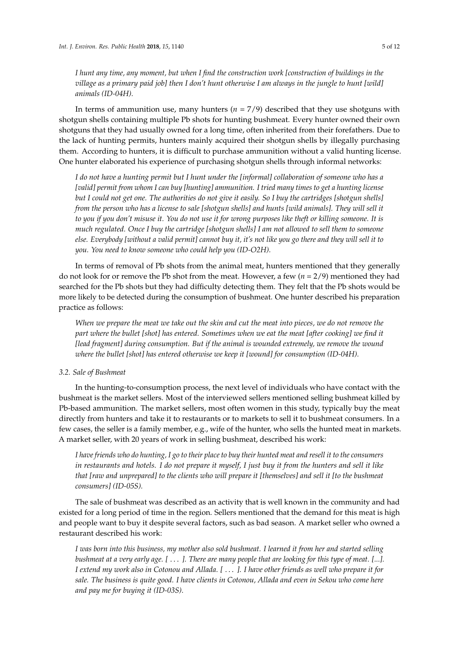*I hunt any time, any moment, but when I find the construction work [construction of buildings in the village as a primary paid job] then I don't hunt otherwise I am always in the jungle to hunt [wild] animals (ID-04H).*

In terms of ammunition use, many hunters  $(n = 7/9)$  described that they use shotguns with shotgun shells containing multiple Pb shots for hunting bushmeat. Every hunter owned their own shotguns that they had usually owned for a long time, often inherited from their forefathers. Due to the lack of hunting permits, hunters mainly acquired their shotgun shells by illegally purchasing them. According to hunters, it is difficult to purchase ammunition without a valid hunting license. One hunter elaborated his experience of purchasing shotgun shells through informal networks:

*I do not have a hunting permit but I hunt under the [informal] collaboration of someone who has a [valid] permit from whom I can buy [hunting] ammunition. I tried many times to get a hunting license but I could not get one. The authorities do not give it easily. So I buy the cartridges [shotgun shells] from the person who has a license to sale [shotgun shells] and hunts [wild animals]. They will sell it to you if you don't misuse it. You do not use it for wrong purposes like theft or killing someone. It is much regulated. Once I buy the cartridge [shotgun shells] I am not allowed to sell them to someone else. Everybody [without a valid permit] cannot buy it, it's not like you go there and they will sell it to you. You need to know someone who could help you (ID-O2H).*

In terms of removal of Pb shots from the animal meat, hunters mentioned that they generally do not look for or remove the Pb shot from the meat. However, a few (*n* = 2/9) mentioned they had searched for the Pb shots but they had difficulty detecting them. They felt that the Pb shots would be more likely to be detected during the consumption of bushmeat. One hunter described his preparation practice as follows:

*When we prepare the meat we take out the skin and cut the meat into pieces, we do not remove the part where the bullet [shot] has entered. Sometimes when we eat the meat [after cooking] we find it [lead fragment] during consumption. But if the animal is wounded extremely, we remove the wound where the bullet [shot] has entered otherwise we keep it [wound] for consumption (ID-04H).*

# *3.2. Sale of Bushmeat*

In the hunting-to-consumption process, the next level of individuals who have contact with the bushmeat is the market sellers. Most of the interviewed sellers mentioned selling bushmeat killed by Pb-based ammunition. The market sellers, most often women in this study, typically buy the meat directly from hunters and take it to restaurants or to markets to sell it to bushmeat consumers. In a few cases, the seller is a family member, e.g., wife of the hunter, who sells the hunted meat in markets. A market seller, with 20 years of work in selling bushmeat, described his work:

*I have friends who do hunting, I go to their place to buy their hunted meat and resell it to the consumers in restaurants and hotels. I do not prepare it myself, I just buy it from the hunters and sell it like that [raw and unprepared] to the clients who will prepare it [themselves] and sell it [to the bushmeat consumers] (ID-05S).*

The sale of bushmeat was described as an activity that is well known in the community and had existed for a long period of time in the region. Sellers mentioned that the demand for this meat is high and people want to buy it despite several factors, such as bad season. A market seller who owned a restaurant described his work:

*I was born into this business, my mother also sold bushmeat. I learned it from her and started selling bushmeat at a very early age. [* . . . *]. There are many people that are looking for this type of meat. [...]. I extend my work also in Cotonou and Allada. [* . . . *]. I have other friends as well who prepare it for sale. The business is quite good. I have clients in Cotonou, Allada and even in Sekou who come here and pay me for buying it (ID-03S).*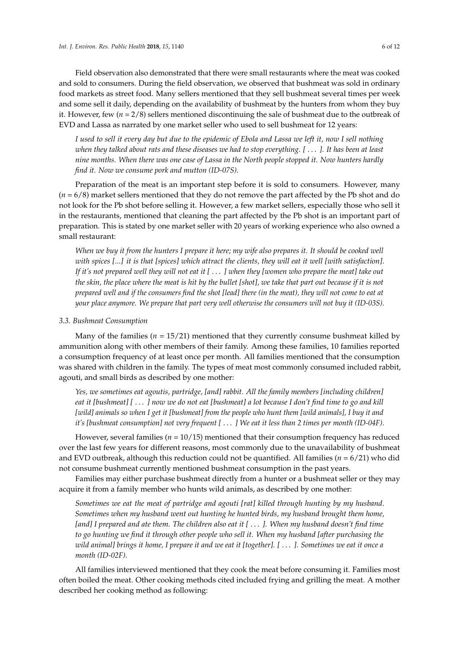Field observation also demonstrated that there were small restaurants where the meat was cooked and sold to consumers. During the field observation, we observed that bushmeat was sold in ordinary food markets as street food. Many sellers mentioned that they sell bushmeat several times per week and some sell it daily, depending on the availability of bushmeat by the hunters from whom they buy it. However, few (*n* = 2/8) sellers mentioned discontinuing the sale of bushmeat due to the outbreak of EVD and Lassa as narrated by one market seller who used to sell bushmeat for 12 years:

*I used to sell it every day but due to the epidemic of Ebola and Lassa we left it, now I sell nothing when they talked about rats and these diseases we had to stop everything. [* . . . *]. It has been at least nine months. When there was one case of Lassa in the North people stopped it. Now hunters hardly find it. Now we consume pork and mutton (ID-07S).*

Preparation of the meat is an important step before it is sold to consumers. However, many (*n* = 6/8) market sellers mentioned that they do not remove the part affected by the Pb shot and do not look for the Pb shot before selling it. However, a few market sellers, especially those who sell it in the restaurants, mentioned that cleaning the part affected by the Pb shot is an important part of preparation. This is stated by one market seller with 20 years of working experience who also owned a small restaurant:

*When we buy it from the hunters I prepare it here; my wife also prepares it. It should be cooked well with spices [...] it is that [spices] which attract the clients, they will eat it well [with satisfaction]. If it's not prepared well they will not eat it [* . . . *] when they [women who prepare the meat] take out the skin, the place where the meat is hit by the bullet [shot], we take that part out because if it is not prepared well and if the consumers find the shot [lead] there (in the meat), they will not come to eat at your place anymore. We prepare that part very well otherwise the consumers will not buy it (ID-03S).*

#### *3.3. Bushmeat Consumption*

Many of the families ( $n = 15/21$ ) mentioned that they currently consume bushmeat killed by ammunition along with other members of their family. Among these families, 10 families reported a consumption frequency of at least once per month. All families mentioned that the consumption was shared with children in the family. The types of meat most commonly consumed included rabbit, agouti, and small birds as described by one mother:

*Yes, we sometimes eat agoutis, partridge, [and] rabbit. All the family members [including children] eat it [bushmeat] [* . . . *] now we do not eat [bushmeat] a lot because I don't find time to go and kill [wild] animals so when I get it [bushmeat] from the people who hunt them [wild animals], I buy it and it's [bushmeat consumption] not very frequent [* . . . *] We eat it less than 2 times per month (ID-04F).*

However, several families (*n* = 10/15) mentioned that their consumption frequency has reduced over the last few years for different reasons, most commonly due to the unavailability of bushmeat and EVD outbreak, although this reduction could not be quantified. All families ( $n = 6/21$ ) who did not consume bushmeat currently mentioned bushmeat consumption in the past years.

Families may either purchase bushmeat directly from a hunter or a bushmeat seller or they may acquire it from a family member who hunts wild animals, as described by one mother:

*Sometimes we eat the meat of partridge and agouti [rat] killed through hunting by my husband. Sometimes when my husband went out hunting he hunted birds, my husband brought them home, [and] I prepared and ate them. The children also eat it [* . . . *]. When my husband doesn't find time to go hunting we find it through other people who sell it. When my husband [after purchasing the wild animal] brings it home, I prepare it and we eat it [together]. [* . . . *]. Sometimes we eat it once a month (ID-02F).*

All families interviewed mentioned that they cook the meat before consuming it. Families most often boiled the meat. Other cooking methods cited included frying and grilling the meat. A mother described her cooking method as following: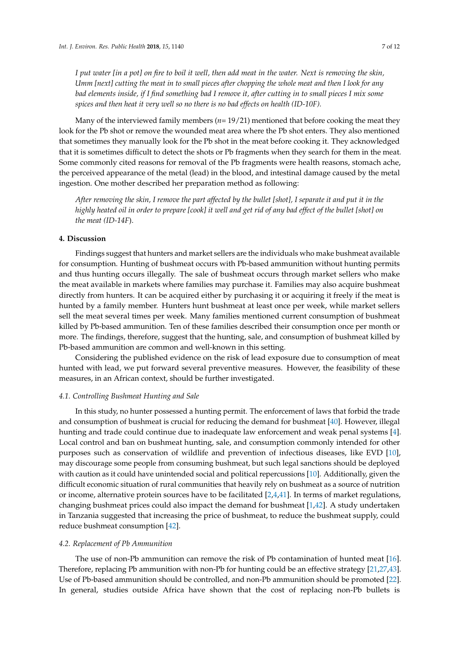*I put water [in a pot] on fire to boil it well, then add meat in the water. Next is removing the skin, Umm [next] cutting the meat in to small pieces after chopping the whole meat and then I look for any bad elements inside, if I find something bad I remove it, after cutting in to small pieces I mix some spices and then heat it very well so no there is no bad effects on health (ID-10F).*

Many of the interviewed family members (*n*= 19/21) mentioned that before cooking the meat they look for the Pb shot or remove the wounded meat area where the Pb shot enters. They also mentioned that sometimes they manually look for the Pb shot in the meat before cooking it. They acknowledged that it is sometimes difficult to detect the shots or Pb fragments when they search for them in the meat. Some commonly cited reasons for removal of the Pb fragments were health reasons, stomach ache, the perceived appearance of the metal (lead) in the blood, and intestinal damage caused by the metal ingestion. One mother described her preparation method as following:

*After removing the skin, I remove the part affected by the bullet [shot], I separate it and put it in the highly heated oil in order to prepare [cook] it well and get rid of any bad effect of the bullet [shot] on the meat (ID-14F*).

# **4. Discussion**

Findings suggest that hunters and market sellers are the individuals who make bushmeat available for consumption. Hunting of bushmeat occurs with Pb-based ammunition without hunting permits and thus hunting occurs illegally. The sale of bushmeat occurs through market sellers who make the meat available in markets where families may purchase it. Families may also acquire bushmeat directly from hunters. It can be acquired either by purchasing it or acquiring it freely if the meat is hunted by a family member. Hunters hunt bushmeat at least once per week, while market sellers sell the meat several times per week. Many families mentioned current consumption of bushmeat killed by Pb-based ammunition. Ten of these families described their consumption once per month or more. The findings, therefore, suggest that the hunting, sale, and consumption of bushmeat killed by Pb-based ammunition are common and well-known in this setting.

Considering the published evidence on the risk of lead exposure due to consumption of meat hunted with lead, we put forward several preventive measures. However, the feasibility of these measures, in an African context, should be further investigated.

## *4.1. Controlling Bushmeat Hunting and Sale*

In this study, no hunter possessed a hunting permit. The enforcement of laws that forbid the trade and consumption of bushmeat is crucial for reducing the demand for bushmeat [\[40\]](#page-11-1). However, illegal hunting and trade could continue due to inadequate law enforcement and weak penal systems [\[4\]](#page-9-3). Local control and ban on bushmeat hunting, sale, and consumption commonly intended for other purposes such as conservation of wildlife and prevention of infectious diseases, like EVD [\[10\]](#page-9-8), may discourage some people from consuming bushmeat, but such legal sanctions should be deployed with caution as it could have unintended social and political repercussions [\[10\]](#page-9-8). Additionally, given the difficult economic situation of rural communities that heavily rely on bushmeat as a source of nutrition or income, alternative protein sources have to be facilitated  $[2,4,41]$  $[2,4,41]$  $[2,4,41]$ . In terms of market regulations, changing bushmeat prices could also impact the demand for bushmeat  $[1,42]$  $[1,42]$ . A study undertaken in Tanzania suggested that increasing the price of bushmeat, to reduce the bushmeat supply, could reduce bushmeat consumption [\[42\]](#page-11-3).

# *4.2. Replacement of Pb Ammunition*

The use of non-Pb ammunition can remove the risk of Pb contamination of hunted meat [\[16\]](#page-9-10). Therefore, replacing Pb ammunition with non-Pb for hunting could be an effective strategy [\[21](#page-10-9)[,27,](#page-10-3)[43\]](#page-11-4). Use of Pb-based ammunition should be controlled, and non-Pb ammunition should be promoted [\[22\]](#page-10-16). In general, studies outside Africa have shown that the cost of replacing non-Pb bullets is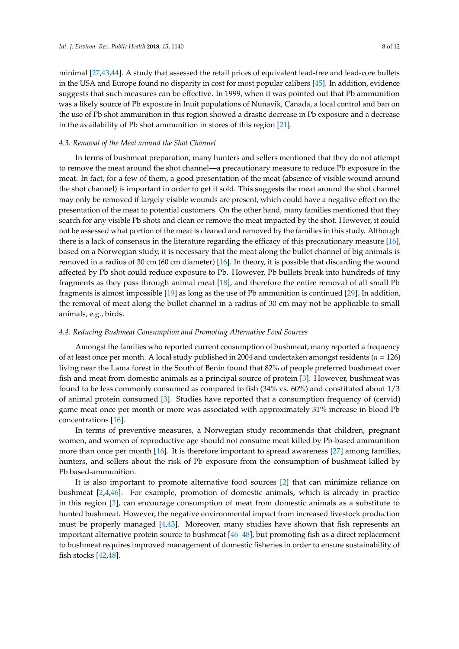minimal [\[27](#page-10-3)[,43](#page-11-4)[,44\]](#page-11-5). A study that assessed the retail prices of equivalent lead-free and lead-core bullets in the USA and Europe found no disparity in cost for most popular calibers [\[45\]](#page-11-6). In addition, evidence suggests that such measures can be effective. In 1999, when it was pointed out that Pb ammunition was a likely source of Pb exposure in Inuit populations of Nunavik, Canada, a local control and ban on the use of Pb shot ammunition in this region showed a drastic decrease in Pb exposure and a decrease in the availability of Pb shot ammunition in stores of this region [\[21\]](#page-10-9).

#### *4.3. Removal of the Meat around the Shot Channel*

In terms of bushmeat preparation, many hunters and sellers mentioned that they do not attempt to remove the meat around the shot channel—a precautionary measure to reduce Pb exposure in the meat. In fact, for a few of them, a good presentation of the meat (absence of visible wound around the shot channel) is important in order to get it sold. This suggests the meat around the shot channel may only be removed if largely visible wounds are present, which could have a negative effect on the presentation of the meat to potential customers. On the other hand, many families mentioned that they search for any visible Pb shots and clean or remove the meat impacted by the shot. However, it could not be assessed what portion of the meat is cleaned and removed by the families in this study. Although there is a lack of consensus in the literature regarding the efficacy of this precautionary measure [\[16\]](#page-9-10), based on a Norwegian study, it is necessary that the meat along the bullet channel of big animals is removed in a radius of 30 cm (60 cm diameter) [\[16\]](#page-9-10). In theory, it is possible that discarding the wound affected by Pb shot could reduce exposure to Pb. However, Pb bullets break into hundreds of tiny fragments as they pass through animal meat [\[18\]](#page-10-1), and therefore the entire removal of all small Pb fragments is almost impossible [\[19\]](#page-10-4) as long as the use of Pb ammunition is continued [\[29\]](#page-10-6). In addition, the removal of meat along the bullet channel in a radius of 30 cm may not be applicable to small animals, e.g., birds.

# *4.4. Reducing Bushmeat Consumption and Promoting Alternative Food Sources*

Amongst the families who reported current consumption of bushmeat, many reported a frequency of at least once per month. A local study published in 2004 and undertaken amongst residents (*n* = 126) living near the Lama forest in the South of Benin found that 82% of people preferred bushmeat over fish and meat from domestic animals as a principal source of protein [\[3\]](#page-9-2). However, bushmeat was found to be less commonly consumed as compared to fish (34% vs. 60%) and constituted about 1/3 of animal protein consumed [\[3\]](#page-9-2). Studies have reported that a consumption frequency of (cervid) game meat once per month or more was associated with approximately 31% increase in blood Pb concentrations [\[16\]](#page-9-10).

In terms of preventive measures, a Norwegian study recommends that children, pregnant women, and women of reproductive age should not consume meat killed by Pb-based ammunition more than once per month [\[16\]](#page-9-10). It is therefore important to spread awareness [\[27\]](#page-10-3) among families, hunters, and sellers about the risk of Pb exposure from the consumption of bushmeat killed by Pb based-ammunition.

It is also important to promote alternative food sources [\[2\]](#page-9-1) that can minimize reliance on bushmeat [\[2,](#page-9-1)[4,](#page-9-3)[46\]](#page-11-7). For example, promotion of domestic animals, which is already in practice in this region [\[3\]](#page-9-2), can encourage consumption of meat from domestic animals as a substitute to hunted bushmeat. However, the negative environmental impact from increased livestock production must be properly managed [\[4,](#page-9-3)[43\]](#page-11-4). Moreover, many studies have shown that fish represents an important alternative protein source to bushmeat [\[46](#page-11-7)[–48\]](#page-11-8), but promoting fish as a direct replacement to bushmeat requires improved management of domestic fisheries in order to ensure sustainability of fish stocks [\[42](#page-11-3)[,48\]](#page-11-8).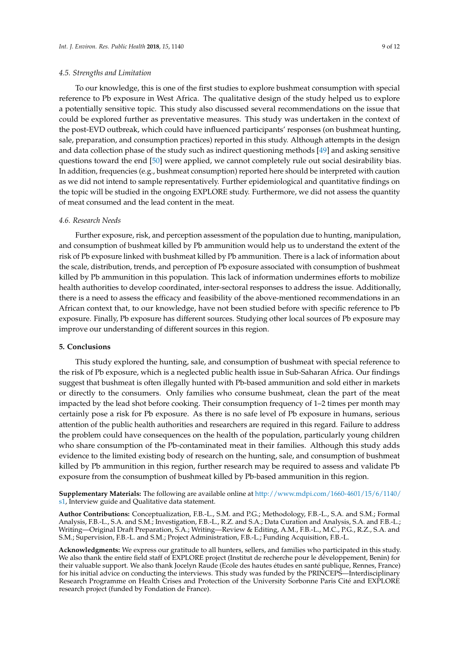#### *4.5. Strengths and Limitation*

To our knowledge, this is one of the first studies to explore bushmeat consumption with special reference to Pb exposure in West Africa. The qualitative design of the study helped us to explore a potentially sensitive topic. This study also discussed several recommendations on the issue that could be explored further as preventative measures. This study was undertaken in the context of the post-EVD outbreak, which could have influenced participants' responses (on bushmeat hunting, sale, preparation, and consumption practices) reported in this study. Although attempts in the design and data collection phase of the study such as indirect questioning methods [\[49\]](#page-11-9) and asking sensitive questions toward the end [\[50\]](#page-11-10) were applied, we cannot completely rule out social desirability bias. In addition, frequencies (e.g., bushmeat consumption) reported here should be interpreted with caution as we did not intend to sample representatively. Further epidemiological and quantitative findings on the topic will be studied in the ongoing EXPLORE study. Furthermore, we did not assess the quantity of meat consumed and the lead content in the meat.

#### *4.6. Research Needs*

Further exposure, risk, and perception assessment of the population due to hunting, manipulation, and consumption of bushmeat killed by Pb ammunition would help us to understand the extent of the risk of Pb exposure linked with bushmeat killed by Pb ammunition. There is a lack of information about the scale, distribution, trends, and perception of Pb exposure associated with consumption of bushmeat killed by Pb ammunition in this population. This lack of information undermines efforts to mobilize health authorities to develop coordinated, inter-sectoral responses to address the issue. Additionally, there is a need to assess the efficacy and feasibility of the above-mentioned recommendations in an African context that, to our knowledge, have not been studied before with specific reference to Pb exposure. Finally, Pb exposure has different sources. Studying other local sources of Pb exposure may improve our understanding of different sources in this region.

#### **5. Conclusions**

This study explored the hunting, sale, and consumption of bushmeat with special reference to the risk of Pb exposure, which is a neglected public health issue in Sub-Saharan Africa. Our findings suggest that bushmeat is often illegally hunted with Pb-based ammunition and sold either in markets or directly to the consumers. Only families who consume bushmeat, clean the part of the meat impacted by the lead shot before cooking. Their consumption frequency of 1–2 times per month may certainly pose a risk for Pb exposure. As there is no safe level of Pb exposure in humans, serious attention of the public health authorities and researchers are required in this regard. Failure to address the problem could have consequences on the health of the population, particularly young children who share consumption of the Pb-contaminated meat in their families. Although this study adds evidence to the limited existing body of research on the hunting, sale, and consumption of bushmeat killed by Pb ammunition in this region, further research may be required to assess and validate Pb exposure from the consumption of bushmeat killed by Pb-based ammunition in this region.

**Supplementary Materials:** The following are available online at [http://www.mdpi.com/1660-4601/15/6/1140/](http://www.mdpi.com/1660-4601/15/6/1140/s1) [s1,](http://www.mdpi.com/1660-4601/15/6/1140/s1) Interview guide and Qualitative data statement.

**Author Contributions:** Conceptualization, F.B.-L., S.M. and P.G.; Methodology, F.B.-L., S.A. and S.M.; Formal Analysis, F.B.-L., S.A. and S.M.; Investigation, F.B.-L., R.Z. and S.A.; Data Curation and Analysis, S.A. and F.B.-L.; Writing—Original Draft Preparation, S.A.; Writing—Review & Editing, A.M., F.B.-L., M.C., P.G., R.Z., S.A. and S.M.; Supervision, F.B.-L. and S.M.; Project Administration, F.B.-L.; Funding Acquisition, F.B.-L.

**Acknowledgments:** We express our gratitude to all hunters, sellers, and families who participated in this study. We also thank the entire field staff of EXPLORE project (Institut de recherche pour le développement, Benin) for their valuable support. We also thank Jocelyn Raude (Ecole des hautes études en santé publique, Rennes, France) for his initial advice on conducting the interviews. This study was funded by the PRINCEPS—Interdisciplinary Research Programme on Health Crises and Protection of the University Sorbonne Paris Cité and EXPLORE research project (funded by Fondation de France).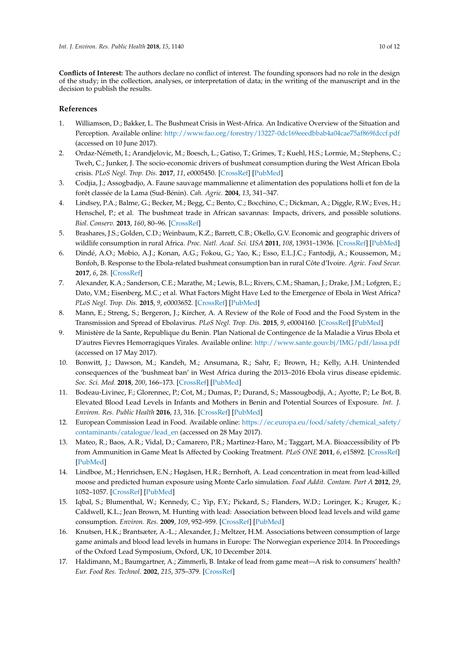**Conflicts of Interest:** The authors declare no conflict of interest. The founding sponsors had no role in the design of the study; in the collection, analyses, or interpretation of data; in the writing of the manuscript and in the decision to publish the results.

# **References**

- <span id="page-9-0"></span>1. Williamson, D.; Bakker, L. The Bushmeat Crisis in West-Africa. An Indicative Overview of the Situation and Perception. Available online: <http://www.fao.org/forestry/13227-0dc169eeedbbab4a04cae75af869fdccf.pdf> (accessed on 10 June 2017).
- <span id="page-9-1"></span>2. Ordaz-Németh, I.; Arandjelovic, M.; Boesch, L.; Gatiso, T.; Grimes, T.; Kuehl, H.S.; Lormie, M.; Stephens, C.; Tweh, C.; Junker, J. The socio-economic drivers of bushmeat consumption during the West African Ebola crisis. *PLoS Negl. Trop. Dis.* **2017**, *11*, e0005450. [\[CrossRef\]](http://dx.doi.org/10.1371/journal.pntd.0005450) [\[PubMed\]](http://www.ncbi.nlm.nih.gov/pubmed/28282378)
- <span id="page-9-2"></span>3. Codjia, J.; Assogbadjo, A. Faune sauvage mammalienne et alimentation des populations holli et fon de la forêt classée de la Lama (Sud-Bénin). *Cah. Agric.* **2004**, *13*, 341–347.
- <span id="page-9-3"></span>4. Lindsey, P.A.; Balme, G.; Becker, M.; Begg, C.; Bento, C.; Bocchino, C.; Dickman, A.; Diggle, R.W.; Eves, H.; Henschel, P.; et al. The bushmeat trade in African savannas: Impacts, drivers, and possible solutions. *Biol. Conserv.* **2013**, *160*, 80–96. [\[CrossRef\]](http://dx.doi.org/10.1016/j.biocon.2012.12.020)
- <span id="page-9-4"></span>5. Brashares, J.S.; Golden, C.D.; Weinbaum, K.Z.; Barrett, C.B.; Okello, G.V. Economic and geographic drivers of wildlife consumption in rural Africa. *Proc. Natl. Acad. Sci. USA* **2011**, *108*, 13931–13936. [\[CrossRef\]](http://dx.doi.org/10.1073/pnas.1011526108) [\[PubMed\]](http://www.ncbi.nlm.nih.gov/pubmed/21873180)
- <span id="page-9-5"></span>6. Dindé, A.O.; Mobio, A.J.; Konan, A.G.; Fokou, G.; Yao, K.; Esso, E.L.J.C.; Fantodji, A.; Koussemon, M.; Bonfoh, B. Response to the Ebola-related bushmeat consumption ban in rural Côte d'Ivoire. *Agric. Food Secur.* **2017**, *6*, 28. [\[CrossRef\]](http://dx.doi.org/10.1186/s40066-017-0105-9)
- <span id="page-9-6"></span>7. Alexander, K.A.; Sanderson, C.E.; Marathe, M.; Lewis, B.L.; Rivers, C.M.; Shaman, J.; Drake, J.M.; Lofgren, E.; Dato, V.M.; Eisenberg, M.C.; et al. What Factors Might Have Led to the Emergence of Ebola in West Africa? *PLoS Negl. Trop. Dis.* **2015**, *9*, e0003652. [\[CrossRef\]](http://dx.doi.org/10.1371/journal.pntd.0003652) [\[PubMed\]](http://www.ncbi.nlm.nih.gov/pubmed/26042592)
- 8. Mann, E.; Streng, S.; Bergeron, J.; Kircher, A. A Review of the Role of Food and the Food System in the Transmission and Spread of Ebolavirus. *PLoS Negl. Trop. Dis.* **2015**, *9*, e0004160. [\[CrossRef\]](http://dx.doi.org/10.1371/journal.pntd.0004160) [\[PubMed\]](http://www.ncbi.nlm.nih.gov/pubmed/26633305)
- <span id="page-9-7"></span>9. Ministère de la Sante, Republique du Benin. Plan National de Contingence de la Maladie a Virus Ebola et D'autres Fievres Hemorragiques Virales. Available online: <http://www.sante.gouv.bj/IMG/pdf/lassa.pdf> (accessed on 17 May 2017).
- <span id="page-9-8"></span>10. Bonwitt, J.; Dawson, M.; Kandeh, M.; Ansumana, R.; Sahr, F.; Brown, H.; Kelly, A.H. Unintended consequences of the 'bushmeat ban' in West Africa during the 2013–2016 Ebola virus disease epidemic. *Soc. Sci. Med.* **2018**, *200*, 166–173. [\[CrossRef\]](http://dx.doi.org/10.1016/j.socscimed.2017.12.028) [\[PubMed\]](http://www.ncbi.nlm.nih.gov/pubmed/29421463)
- <span id="page-9-9"></span>11. Bodeau-Livinec, F.; Glorennec, P.; Cot, M.; Dumas, P.; Durand, S.; Massougbodji, A.; Ayotte, P.; Le Bot, B. Elevated Blood Lead Levels in Infants and Mothers in Benin and Potential Sources of Exposure. *Int. J. Environ. Res. Public Health* **2016**, *13*, 316. [\[CrossRef\]](http://dx.doi.org/10.3390/ijerph13030316) [\[PubMed\]](http://www.ncbi.nlm.nih.gov/pubmed/26978384)
- 12. European Commission Lead in Food. Available online: [https://ec.europa.eu/food/safety/chemical\\_safety/](https://ec.europa.eu/food/safety/chemical_safety/contaminants/catalogue/lead_en) [contaminants/catalogue/lead\\_en](https://ec.europa.eu/food/safety/chemical_safety/contaminants/catalogue/lead_en) (accessed on 28 May 2017).
- <span id="page-9-14"></span>13. Mateo, R.; Baos, A.R.; Vidal, D.; Camarero, P.R.; Martinez-Haro, M.; Taggart, M.A. Bioaccessibility of Pb from Ammunition in Game Meat Is Affected by Cooking Treatment. *PLoS ONE* **2011**, *6*, e15892. [\[CrossRef\]](http://dx.doi.org/10.1371/journal.pone.0015892) [\[PubMed\]](http://www.ncbi.nlm.nih.gov/pubmed/21264290)
- <span id="page-9-11"></span>14. Lindboe, M.; Henrichsen, E.N.; Høgåsen, H.R.; Bernhoft, A. Lead concentration in meat from lead-killed moose and predicted human exposure using Monte Carlo simulation. *Food Addit. Contam. Part A* **2012**, *29*, 1052–1057. [\[CrossRef\]](http://dx.doi.org/10.1080/19440049.2012.680201) [\[PubMed\]](http://www.ncbi.nlm.nih.gov/pubmed/22651819)
- <span id="page-9-12"></span>15. Iqbal, S.; Blumenthal, W.; Kennedy, C.; Yip, F.Y.; Pickard, S.; Flanders, W.D.; Loringer, K.; Kruger, K.; Caldwell, K.L.; Jean Brown, M. Hunting with lead: Association between blood lead levels and wild game consumption. *Environ. Res.* **2009**, *109*, 952–959. [\[CrossRef\]](http://dx.doi.org/10.1016/j.envres.2009.08.007) [\[PubMed\]](http://www.ncbi.nlm.nih.gov/pubmed/19747676)
- <span id="page-9-10"></span>16. Knutsen, H.K.; Brantsæter, A.-L.; Alexander, J.; Meltzer, H.M. Associations between consumption of large game animals and blood lead levels in humans in Europe: The Norwegian experience 2014. In Proceedings of the Oxford Lead Symposium, Oxford, UK, 10 December 2014.
- <span id="page-9-13"></span>17. Haldimann, M.; Baumgartner, A.; Zimmerli, B. Intake of lead from game meat—A risk to consumers' health? *Eur. Food Res. Technol.* **2002**, *215*, 375–379. [\[CrossRef\]](http://dx.doi.org/10.1007/s00217-002-0581-3)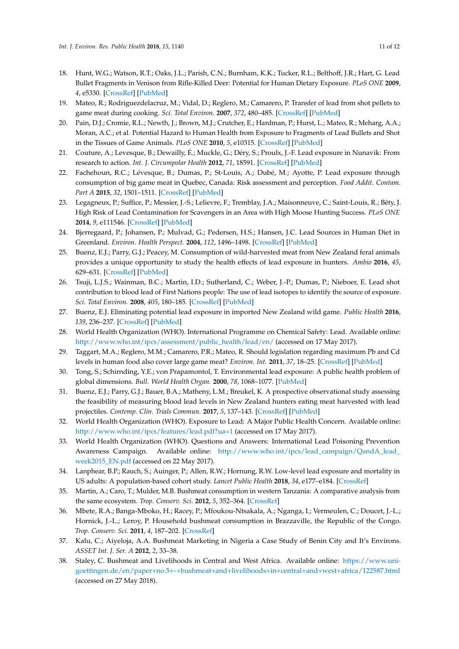- <span id="page-10-1"></span>18. Hunt, W.G.; Watson, R.T.; Oaks, J.L.; Parish, C.N.; Burnham, K.K.; Tucker, R.L.; Belthoff, J.R.; Hart, G. Lead Bullet Fragments in Venison from Rifle-Killed Deer: Potential for Human Dietary Exposure. *PLoS ONE* **2009**, *4*, e5330. [\[CrossRef\]](http://dx.doi.org/10.1371/journal.pone.0005330) [\[PubMed\]](http://www.ncbi.nlm.nih.gov/pubmed/19390698)
- <span id="page-10-4"></span>19. Mateo, R.; Rodriguezdelacruz, M.; Vidal, D.; Reglero, M.; Camarero, P. Transfer of lead from shot pellets to game meat during cooking. *Sci. Total Environ.* **2007**, *372*, 480–485. [\[CrossRef\]](http://dx.doi.org/10.1016/j.scitotenv.2006.10.022) [\[PubMed\]](http://www.ncbi.nlm.nih.gov/pubmed/17118428)
- <span id="page-10-7"></span>20. Pain, D.J.; Cromie, R.L.; Newth, J.; Brown, M.J.; Crutcher, E.; Hardman, P.; Hurst, L.; Mateo, R.; Meharg, A.A.; Moran, A.C.; et al. Potential Hazard to Human Health from Exposure to Fragments of Lead Bullets and Shot in the Tissues of Game Animals. *PLoS ONE* **2010**, *5*, e10315. [\[CrossRef\]](http://dx.doi.org/10.1371/journal.pone.0010315) [\[PubMed\]](http://www.ncbi.nlm.nih.gov/pubmed/20436670)
- <span id="page-10-9"></span>21. Couture, A.; Levesque, B.; Dewailly, É.; Muckle, G.; Déry, S.; Proulx, J.-F. Lead exposure in Nunavik: From research to action. *Int. J. Circumpolar Health* **2012**, *71*, 18591. [\[CrossRef\]](http://dx.doi.org/10.3402/ijch.v71i0.18591) [\[PubMed\]](http://www.ncbi.nlm.nih.gov/pubmed/22818717)
- <span id="page-10-16"></span>22. Fachehoun, R.C.; Lévesque, B.; Dumas, P.; St-Louis, A.; Dubé, M.; Ayotte, P. Lead exposure through consumption of big game meat in Quebec, Canada: Risk assessment and perception. *Food Addit. Contam. Part A* **2015**, *32*, 1501–1511. [\[CrossRef\]](http://dx.doi.org/10.1080/19440049.2015.1071921) [\[PubMed\]](http://www.ncbi.nlm.nih.gov/pubmed/26161681)
- 23. Legagneux, P.; Suffice, P.; Messier, J.-S.; Lelievre, F.; Tremblay, J.A.; Maisonneuve, C.; Saint-Louis, R.; Bêty, J. High Risk of Lead Contamination for Scavengers in an Area with High Moose Hunting Success. *PLoS ONE* **2014**, *9*, e111546. [\[CrossRef\]](http://dx.doi.org/10.1371/journal.pone.0111546) [\[PubMed\]](http://www.ncbi.nlm.nih.gov/pubmed/25389754)
- 24. Bjerregaard, P.; Johansen, P.; Mulvad, G.; Pedersen, H.S.; Hansen, J.C. Lead Sources in Human Diet in Greenland. *Environ. Health Perspect.* **2004**, *112*, 1496–1498. [\[CrossRef\]](http://dx.doi.org/10.1289/ehp.7083) [\[PubMed\]](http://www.ncbi.nlm.nih.gov/pubmed/15531433)
- <span id="page-10-0"></span>25. Buenz, E.J.; Parry, G.J.; Peacey, M. Consumption of wild-harvested meat from New Zealand feral animals provides a unique opportunity to study the health effects of lead exposure in hunters. *Ambio* **2016**, *45*, 629–631. [\[CrossRef\]](http://dx.doi.org/10.1007/s13280-016-0798-1) [\[PubMed\]](http://www.ncbi.nlm.nih.gov/pubmed/27344321)
- <span id="page-10-2"></span>26. Tsuji, L.J.S.; Wainman, B.C.; Martin, I.D.; Sutherland, C.; Weber, J.-P.; Dumas, P.; Nieboer, E. Lead shot contribution to blood lead of First Nations people: The use of lead isotopes to identify the source of exposure. *Sci. Total Environ.* **2008**, *405*, 180–185. [\[CrossRef\]](http://dx.doi.org/10.1016/j.scitotenv.2008.06.048) [\[PubMed\]](http://www.ncbi.nlm.nih.gov/pubmed/18678397)
- <span id="page-10-3"></span>27. Buenz, E.J. Eliminating potential lead exposure in imported New Zealand wild game. *Public Health* **2016**, *139*, 236–237. [\[CrossRef\]](http://dx.doi.org/10.1016/j.puhe.2016.06.025) [\[PubMed\]](http://www.ncbi.nlm.nih.gov/pubmed/27456932)
- <span id="page-10-5"></span>28. World Health Organization (WHO). International Programme on Chemical Safety: Lead. Available online: [http://www.who.int/ipcs/assessment/public\\_health/lead/en/](http://www.who.int/ipcs/assessment/public_health/lead/en/) (accessed on 17 May 2017).
- <span id="page-10-6"></span>29. Taggart, M.A.; Reglero, M.M.; Camarero, P.R.; Mateo, R. Should legislation regarding maximum Pb and Cd levels in human food also cover large game meat? *Environ. Int.* **2011**, *37*, 18–25. [\[CrossRef\]](http://dx.doi.org/10.1016/j.envint.2010.06.007) [\[PubMed\]](http://www.ncbi.nlm.nih.gov/pubmed/20621359)
- <span id="page-10-8"></span>30. Tong, S.; Schirnding, Y.E.; von Prapamontol, T. Environmental lead exposure: A public health problem of global dimensions. *Bull. World Health Organ.* **2000**, *78*, 1068–1077. [\[PubMed\]](http://www.ncbi.nlm.nih.gov/pubmed/11019456)
- <span id="page-10-10"></span>31. Buenz, E.J.; Parry, G.J.; Bauer, B.A.; Matheny, L.M.; Breukel, K. A prospective observational study assessing the feasibility of measuring blood lead levels in New Zealand hunters eating meat harvested with lead projectiles. *Contemp. Clin. Trials Commun.* **2017**, *5*, 137–143. [\[CrossRef\]](http://dx.doi.org/10.1016/j.conctc.2017.02.002) [\[PubMed\]](http://www.ncbi.nlm.nih.gov/pubmed/29740629)
- <span id="page-10-11"></span>32. World Health Organization (WHO). Exposure to Lead: A Major Public Health Concern. Available online: <http://www.who.int/ipcs/features/lead.pdf?ua=1> (accessed on 17 May 2017).
- <span id="page-10-12"></span>33. World Health Organization (WHO). Questions and Answers: International Lead Poisoning Prevention Awareness Campaign. Available online: [http://www.who.int/ipcs/lead\\_campaign/QandA\\_lead\\_](http://www.who.int/ipcs/lead_campaign/QandA_lead_week2015_EN.pdf) [week2015\\_EN.pdf](http://www.who.int/ipcs/lead_campaign/QandA_lead_week2015_EN.pdf) (accessed on 22 May 2017).
- <span id="page-10-13"></span>34. Lanphear, B.P.; Rauch, S.; Auinger, P.; Allen, R.W.; Hornung, R.W. Low-level lead exposure and mortality in US adults: A population-based cohort study. *Lancet Public Health* **2018**, *34*, e177–e184. [\[CrossRef\]](http://dx.doi.org/10.1016/S2468-2667(18)30025-2)
- <span id="page-10-14"></span>35. Martin, A.; Caro, T.; Mulder, M.B. Bushmeat consumption in western Tanzania: A comparative analysis from the same ecosystem. *Trop. Conserv. Sci.* **2012**, *5*, 352–364. [\[CrossRef\]](http://dx.doi.org/10.1177/194008291200500309)
- 36. Mbete, R.A.; Banga-Mboko, H.; Racey, P.; Mfoukou-Ntsakala, A.; Nganga, I.; Vermeulen, C.; Doucet, J.-L.; Hornick, J.-L.; Leroy, P. Household bushmeat consumption in Brazzaville, the Republic of the Congo. *Trop. Conserv. Sci.* **2011**, *4*, 187–202. [\[CrossRef\]](http://dx.doi.org/10.1177/194008291100400207)
- 37. Kalu, C.; Aiyeloja, A.A. Bushmeat Marketing in Nigeria a Case Study of Benin City and It's Environs. *ASSET Int. J. Ser. A* **2012**, *2*, 33–38.
- <span id="page-10-15"></span>38. Staley, C. Bushmeat and Livelihoods in Central and West Africa. Available online: [https://www.uni](https://www.uni-goettingen.de/en/paper+no.5+-+bushmeat+and+livelihoods+in+central+and+west+africa/122587.html)[goettingen.de/en/paper+no.5+-+bushmeat+and+livelihoods+in+central+and+west+africa/122587.html](https://www.uni-goettingen.de/en/paper+no.5+-+bushmeat+and+livelihoods+in+central+and+west+africa/122587.html) (accessed on 27 May 2018).